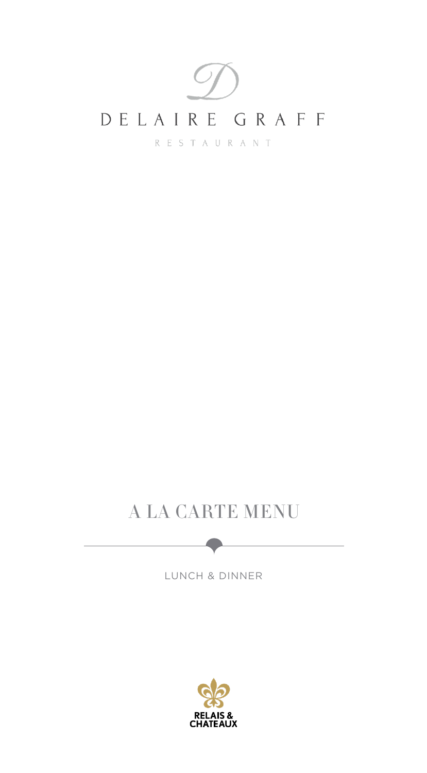

## A LA CARTE MENU

LUNCH & DINNER

-

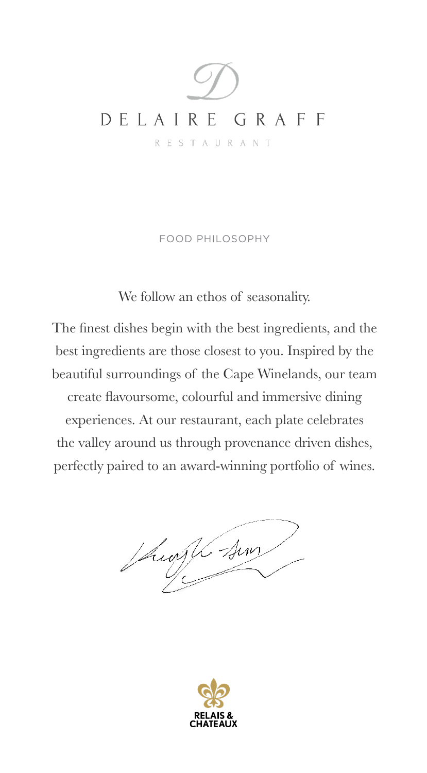

FOOD PHILOSOPHY

We follow an ethos of seasonality.

The finest dishes begin with the best ingredients, and the best ingredients are those closest to you. Inspired by the beautiful surroundings of the Cape Winelands, our team create flavoursome, colourful and immersive dining experiences. At our restaurant, each plate celebrates the valley around us through provenance driven dishes, perfectly paired to an award-winning portfolio of wines.

Sugli sur

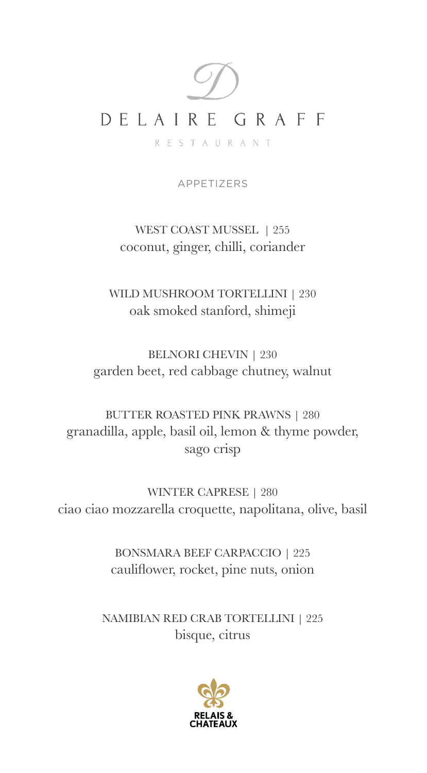

APPETIZERS

WEST COAST MUSSEL | 255 coconut, ginger, chilli, coriander

WILD MUSHROOM TORTELLINI | 230 oak smoked stanford, shimeji

BELNORI CHEVIN | 230 garden beet, red cabbage chutney, walnut

BUTTER ROASTED PINK PRAWNS | 280 granadilla, apple, basil oil, lemon & thyme powder, sago crisp

WINTER CAPRESE | 280 ciao ciao mozzarella croquette, napolitana, olive, basil

> BONSMARA BEEF CARPACCIO | 225 cauliflower, rocket, pine nuts, onion

NAMIBIAN RED CRAB TORTELLINI | 225 bisque, citrus

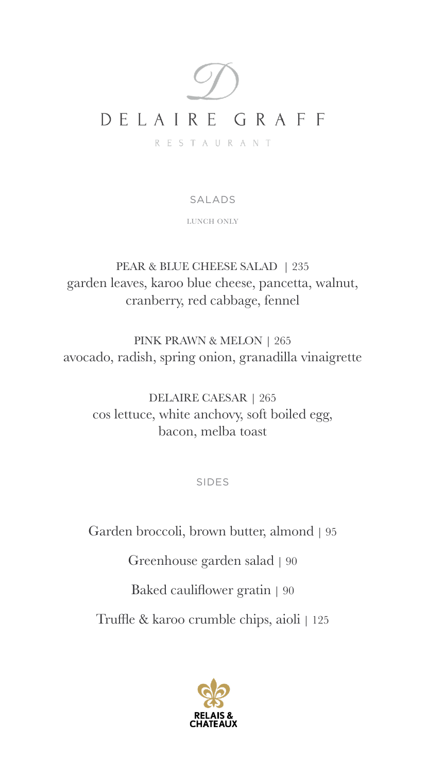

SALADS

LUNCH ONLY

PEAR & BLUE CHEESE SALAD | 235 garden leaves, karoo blue cheese, pancetta, walnut, cranberry, red cabbage, fennel

PINK PRAWN & MELON | 265 avocado, radish, spring onion, granadilla vinaigrette

DELAIRE CAESAR | 265 cos lettuce, white anchovy, soft boiled egg, bacon, melba toast

SIDES

Garden broccoli, brown butter, almond | 95 Greenhouse garden salad | 90 Baked cauliflower gratin | 90 Truffle & karoo crumble chips, aioli | 125

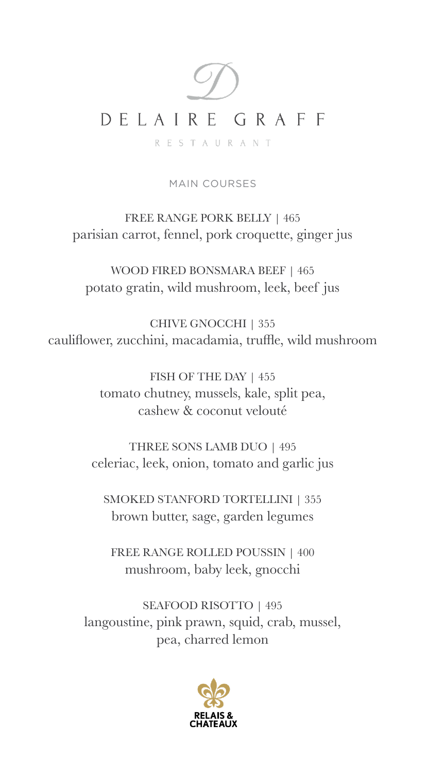# DELAIRE GRAFF **RESTAURANT**

MAIN COURSES

FREE RANGE PORK BELLY | 465 parisian carrot, fennel, pork croquette, ginger jus

WOOD FIRED BONSMARA BEEF | 465 potato gratin, wild mushroom, leek, beef jus

CHIVE GNOCCHI | 355 cauliflower, zucchini, macadamia, truffle, wild mushroom

> FISH OF THE DAY | 455 tomato chutney, mussels, kale, split pea, cashew & coconut velouté

THREE SONS LAMB DUO | 495 celeriac, leek, onion, tomato and garlic jus

SMOKED STANFORD TORTELLINI | 355 brown butter, sage, garden legumes

FREE RANGE ROLLED POUSSIN | 400 mushroom, baby leek, gnocchi

SEAFOOD RISOTTO | 495 langoustine, pink prawn, squid, crab, mussel, pea, charred lemon

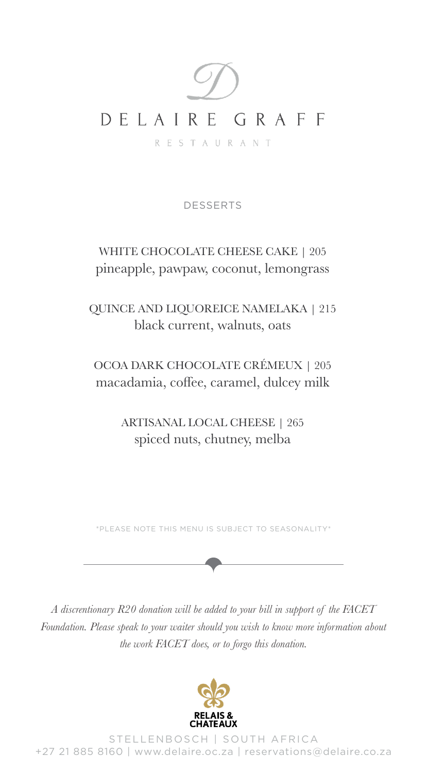

DESSERTS

WHITE CHOCOLATE CHEESE CAKE | 205 pineapple, pawpaw, coconut, lemongrass

QUINCE AND LIQUOREICE NAMELAKA | 215 black current, walnuts, oats

OCOA DARK CHOCOLATE CRÉMEUX | 205 macadamia, coffee, caramel, dulcey milk

> ARTISANAL LOCAL CHEESE | 265 spiced nuts, chutney, melba

\*PLEASE NOTE THIS MENU IS SUBJECT TO SEASONALITY\*

*A discrentionary R20 donation will be added to your bill in support of the FACET Foundation. Please speak to your waiter should you wish to know more information about the work FACET does, or to forgo this donation.* 



STELLENBOSCH | SOUTH AFRICA +27 21 885 8160 | www.delaire.oc.za | reservations@delaire.co.za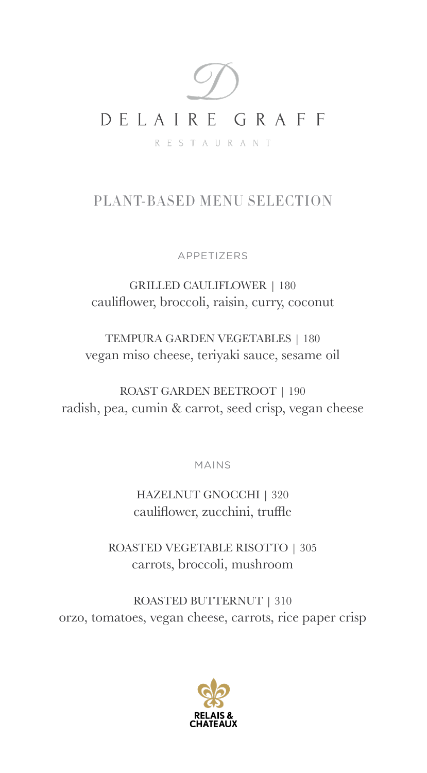

#### PLANT-BASED MENU SELECTION

APPETIZERS

GRILLED CAULIFLOWER | 180 cauliflower, broccoli, raisin, curry, coconut

TEMPURA GARDEN VEGETABLES | 180 vegan miso cheese, teriyaki sauce, sesame oil

ROAST GARDEN BEETROOT | 190 radish, pea, cumin & carrot, seed crisp, vegan cheese

MAINS

HAZELNUT GNOCCHI | 320 cauliflower, zucchini, truffle

ROASTED VEGETABLE RISOTTO | 305 carrots, broccoli, mushroom

ROASTED BUTTERNUT | 310 orzo, tomatoes, vegan cheese, carrots, rice paper crisp

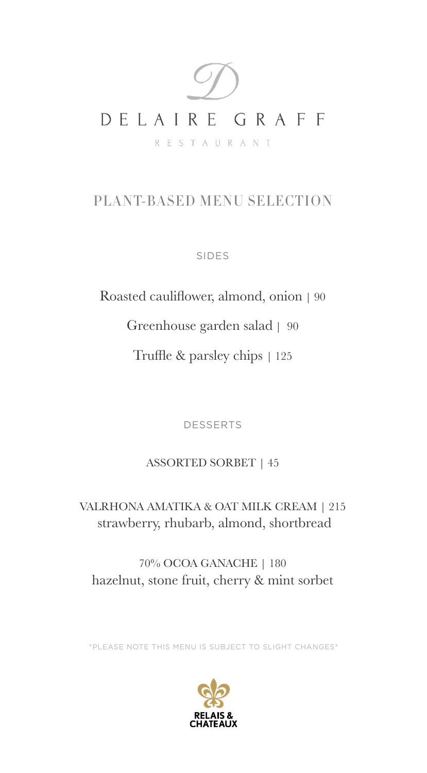

### PLANT-BASED MENU SELECTION

SIDES

Roasted cauliflower, almond, onion | 90 Greenhouse garden salad | 90 Truffle & parsley chips | 125

DESSERTS

#### ASSORTED SORBET | 45

VALRHONA AMATIKA & OAT MILK CREAM | 215 strawberry, rhubarb, almond, shortbread

70% OCOA GANACHE | 180 hazelnut, stone fruit, cherry & mint sorbet

\*PLEASE NOTE THIS MENU IS SUBJECT TO SLIGHT CHANGES\*